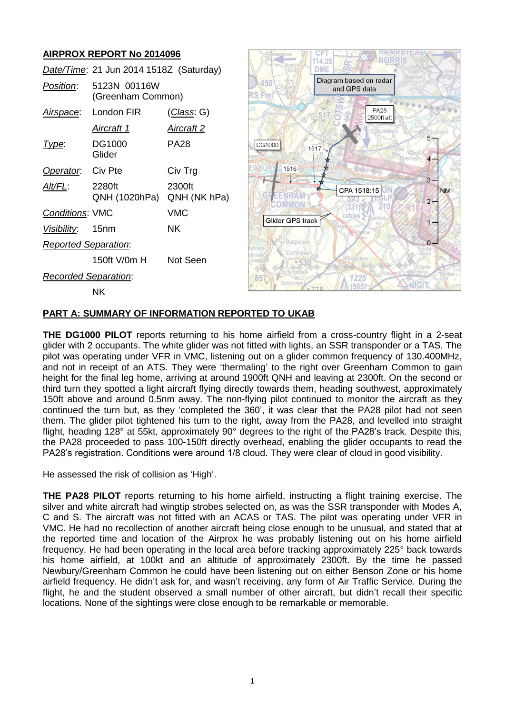# **AIRPROX REPORT No 2014096**

|                             | Date/Time: 21 Jun 2014 1518Z (Saturday) |                        |
|-----------------------------|-----------------------------------------|------------------------|
| Position:                   | 5123N 00116W<br>(Greenham Common)       |                        |
| <u>Airspace</u> :           | London FIR                              | <u>(Class</u> : G)     |
|                             | <u>Aircraft 1</u>                       | <u>Aircraft 2</u>      |
| Type:                       | DG1000<br>Glider                        | PA28                   |
| Operator. Civ Pte           |                                         | Civ Trg                |
| Alt/FL:                     | 2280ft<br>QNH (1020hPa)                 | 2300ft<br>QNH (NK hPa) |
| <b>Conditions: VMC</b>      |                                         | VMC                    |
| Visibility: 15nm            |                                         | NΚ                     |
| <b>Reported Separation:</b> |                                         |                        |
|                             | 150ft V/0m H                            | Not Seen               |
| Recorded Separation:        |                                         |                        |
|                             | NΚ                                      |                        |



### **PART A: SUMMARY OF INFORMATION REPORTED TO UKAB**

**THE DG1000 PILOT** reports returning to his home airfield from a cross-country flight in a 2-seat glider with 2 occupants. The white glider was not fitted with lights, an SSR transponder or a TAS. The pilot was operating under VFR in VMC, listening out on a glider common frequency of 130.400MHz, and not in receipt of an ATS. They were 'thermaling' to the right over Greenham Common to gain height for the final leg home, arriving at around 1900ft QNH and leaving at 2300ft. On the second or third turn they spotted a light aircraft flying directly towards them, heading southwest, approximately 150ft above and around 0.5nm away. The non-flying pilot continued to monitor the aircraft as they continued the turn but, as they 'completed the 360', it was clear that the PA28 pilot had not seen them. The glider pilot tightened his turn to the right, away from the PA28, and levelled into straight flight, heading 128° at 55kt, approximately 90° degrees to the right of the PA28's track. Despite this, the PA28 proceeded to pass 100-150ft directly overhead, enabling the glider occupants to read the PA28's registration. Conditions were around 1/8 cloud. They were clear of cloud in good visibility.

He assessed the risk of collision as 'High'.

**THE PA28 PILOT** reports returning to his home airfield, instructing a flight training exercise. The silver and white aircraft had wingtip strobes selected on, as was the SSR transponder with Modes A, C and S. The aircraft was not fitted with an ACAS or TAS. The pilot was operating under VFR in VMC. He had no recollection of another aircraft being close enough to be unusual, and stated that at the reported time and location of the Airprox he was probably listening out on his home airfield frequency. He had been operating in the local area before tracking approximately 225° back towards his home airfield, at 100kt and an altitude of approximately 2300ft. By the time he passed Newbury/Greenham Common he could have been listening out on either Benson Zone or his home airfield frequency. He didn't ask for, and wasn't receiving, any form of Air Traffic Service. During the flight, he and the student observed a small number of other aircraft, but didn't recall their specific locations. None of the sightings were close enough to be remarkable or memorable.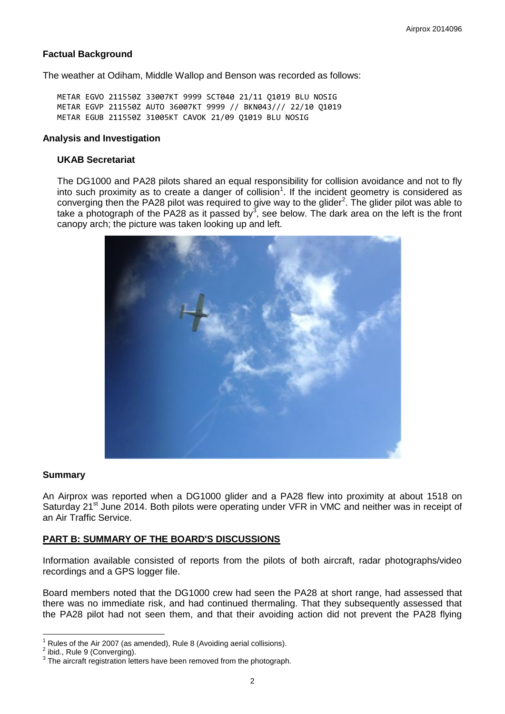## **Factual Background**

The weather at Odiham, Middle Wallop and Benson was recorded as follows:

METAR EGVO 211550Z 33007KT 9999 SCT040 21/11 Q1019 BLU NOSIG METAR EGVP 211550Z AUTO 36007KT 9999 // BKN043/// 22/10 Q1019 METAR EGUB 211550Z 31005KT CAVOK 21/09 Q1019 BLU NOSIG

#### **Analysis and Investigation**

#### **UKAB Secretariat**

The DG1000 and PA28 pilots shared an equal responsibility for collision avoidance and not to fly into such proximity as to create a danger of collision<sup>1</sup>. If the incident geometry is considered as converging then the PA28 pilot was required to give way to the glider $^2$ . The glider pilot was able to take a photograph of the PA28 as it passed by<sup>3</sup>, see below. The dark area on the left is the front canopy arch; the picture was taken looking up and left.



#### **Summary**

An Airprox was reported when a DG1000 glider and a PA28 flew into proximity at about 1518 on Saturday 21<sup>st</sup> June 2014. Both pilots were operating under VFR in VMC and neither was in receipt of an Air Traffic Service.

## **PART B: SUMMARY OF THE BOARD'S DISCUSSIONS**

Information available consisted of reports from the pilots of both aircraft, radar photographs/video recordings and a GPS logger file.

Board members noted that the DG1000 crew had seen the PA28 at short range, had assessed that there was no immediate risk, and had continued thermaling. That they subsequently assessed that the PA28 pilot had not seen them, and that their avoiding action did not prevent the PA28 flying

 $\overline{a}$ 

Rules of the Air 2007 (as amended), Rule 8 (Avoiding aerial collisions).

<sup>2</sup> ibid., Rule 9 (Converging).

 $3$  The aircraft registration letters have been removed from the photograph.